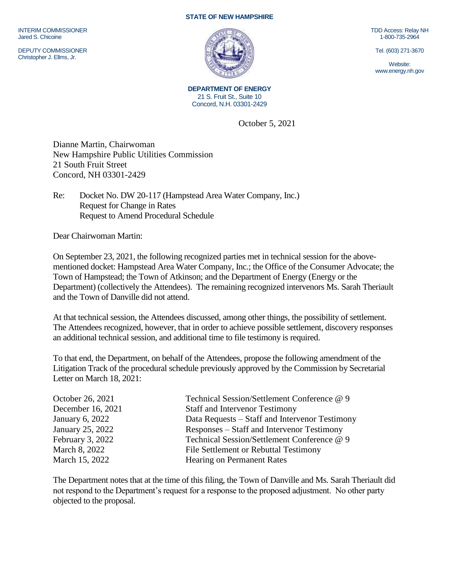INTERIM COMMISSIONER Jared S. Chicoine

DEPUTY COMMISSIONER Christopher J. Ellms, Jr.

## **STATE OF NEW HAMPSHIRE**



**DEPARTMENT OF ENERGY** 21 S. Fruit St., Suite 10 Concord, N.H. 03301-2429

October 5, 2021

Dianne Martin, Chairwoman New Hampshire Public Utilities Commission 21 South Fruit Street Concord, NH 03301-2429

Re: Docket No. DW 20-117 (Hampstead Area Water Company, Inc.) Request for Change in Rates Request to Amend Procedural Schedule

Dear Chairwoman Martin:

On September 23, 2021, the following recognized parties met in technical session for the abovementioned docket: Hampstead Area Water Company, Inc.; the Office of the Consumer Advocate; the Town of Hampstead; the Town of Atkinson; and the Department of Energy (Energy or the Department) (collectively the Attendees). The remaining recognized intervenors Ms. Sarah Theriault and the Town of Danville did not attend.

At that technical session, the Attendees discussed, among other things, the possibility of settlement. The Attendees recognized, however, that in order to achieve possible settlement, discovery responses an additional technical session, and additional time to file testimony is required.

To that end, the Department, on behalf of the Attendees, propose the following amendment of the Litigation Track of the procedural schedule previously approved by the Commission by Secretarial Letter on March 18, 2021:

| October 26, 2021  | Technical Session/Settlement Conference @ 9    |
|-------------------|------------------------------------------------|
| December 16, 2021 | <b>Staff and Intervenor Testimony</b>          |
| January 6, 2022   | Data Requests – Staff and Intervenor Testimony |
| January 25, 2022  | Responses – Staff and Intervenor Testimony     |
| February 3, 2022  | Technical Session/Settlement Conference @ 9    |
| March 8, 2022     | File Settlement or Rebuttal Testimony          |
| March 15, 2022    | Hearing on Permanent Rates                     |

The Department notes that at the time of this filing, the Town of Danville and Ms. Sarah Theriault did not respond to the Department's request for a response to the proposed adjustment. No other party objected to the proposal.

TDD Access: Relay NH 1-800-735-2964

Tel. (603) 271-3670

Website: www.energy.nh.gov